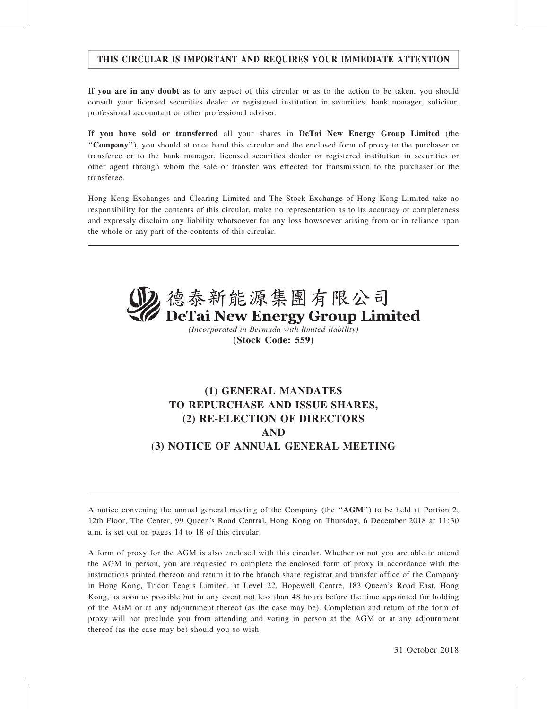# THIS CIRCULAR IS IMPORTANT AND REQUIRES YOUR IMMEDIATE ATTENTION

If you are in any doubt as to any aspect of this circular or as to the action to be taken, you should consult your licensed securities dealer or registered institution in securities, bank manager, solicitor, professional accountant or other professional adviser.

If you have sold or transferred all your shares in DeTai New Energy Group Limited (the ''Company''), you should at once hand this circular and the enclosed form of proxy to the purchaser or transferee or to the bank manager, licensed securities dealer or registered institution in securities or other agent through whom the sale or transfer was effected for transmission to the purchaser or the transferee.

Hong Kong Exchanges and Clearing Limited and The Stock Exchange of Hong Kong Limited take no responsibility for the contents of this circular, make no representation as to its accuracy or completeness and expressly disclaim any liability whatsoever for any loss howsoever arising from or in reliance upon the whole or any part of the contents of this circular.



(Incorporated in Bermuda with limited liability) (Stock Code: 559)

# (1) GENERAL MANDATES TO REPURCHASE AND ISSUE SHARES, (2) RE-ELECTION OF DIRECTORS AND (3) NOTICE OF ANNUAL GENERAL MEETING

A notice convening the annual general meeting of the Company (the ''AGM'') to be held at Portion 2, 12th Floor, The Center, 99 Queen's Road Central, Hong Kong on Thursday, 6 December 2018 at 11:30 a.m. is set out on pages 14 to 18 of this circular.

A form of proxy for the AGM is also enclosed with this circular. Whether or not you are able to attend the AGM in person, you are requested to complete the enclosed form of proxy in accordance with the instructions printed thereon and return it to the branch share registrar and transfer office of the Company in Hong Kong, Tricor Tengis Limited, at Level 22, Hopewell Centre, 183 Queen's Road East, Hong Kong, as soon as possible but in any event not less than 48 hours before the time appointed for holding of the AGM or at any adjournment thereof (as the case may be). Completion and return of the form of proxy will not preclude you from attending and voting in person at the AGM or at any adjournment thereof (as the case may be) should you so wish.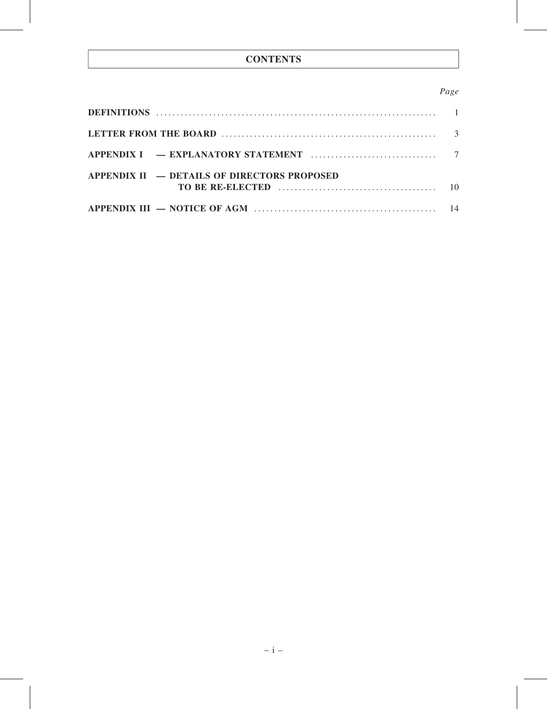# **CONTENTS**

# Page

| APPENDIX $H =$ DETAILS OF DIRECTORS PROPOSED |  |
|----------------------------------------------|--|
|                                              |  |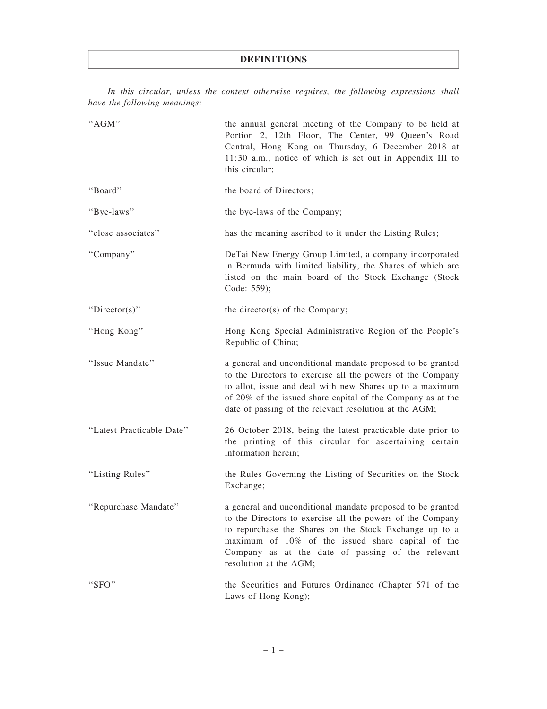In this circular, unless the context otherwise requires, the following expressions shall have the following meanings:

| "AGM"                     | the annual general meeting of the Company to be held at<br>Portion 2, 12th Floor, The Center, 99 Queen's Road<br>Central, Hong Kong on Thursday, 6 December 2018 at<br>11:30 a.m., notice of which is set out in Appendix III to<br>this circular;                                                                     |  |
|---------------------------|------------------------------------------------------------------------------------------------------------------------------------------------------------------------------------------------------------------------------------------------------------------------------------------------------------------------|--|
| "Board"                   | the board of Directors;                                                                                                                                                                                                                                                                                                |  |
| "Bye-laws"                | the bye-laws of the Company;                                                                                                                                                                                                                                                                                           |  |
| "close associates"        | has the meaning ascribed to it under the Listing Rules;                                                                                                                                                                                                                                                                |  |
| "Company"                 | DeTai New Energy Group Limited, a company incorporated<br>in Bermuda with limited liability, the Shares of which are<br>listed on the main board of the Stock Exchange (Stock<br>Code: 559);                                                                                                                           |  |
| "Director(s)"             | the director(s) of the Company;                                                                                                                                                                                                                                                                                        |  |
| "Hong Kong"               | Hong Kong Special Administrative Region of the People's<br>Republic of China;                                                                                                                                                                                                                                          |  |
| "Issue Mandate"           | a general and unconditional mandate proposed to be granted<br>to the Directors to exercise all the powers of the Company<br>to allot, issue and deal with new Shares up to a maximum<br>of 20% of the issued share capital of the Company as at the<br>date of passing of the relevant resolution at the AGM;          |  |
| "Latest Practicable Date" | 26 October 2018, being the latest practicable date prior to<br>the printing of this circular for ascertaining certain<br>information herein;                                                                                                                                                                           |  |
| "Listing Rules"           | the Rules Governing the Listing of Securities on the Stock<br>Exchange;                                                                                                                                                                                                                                                |  |
| "Repurchase Mandate"      | a general and unconditional mandate proposed to be granted<br>to the Directors to exercise all the powers of the Company<br>to repurchase the Shares on the Stock Exchange up to a<br>maximum of 10% of the issued share capital of the<br>Company as at the date of passing of the relevant<br>resolution at the AGM; |  |
| "SFO"                     | the Securities and Futures Ordinance (Chapter 571 of the<br>Laws of Hong Kong);                                                                                                                                                                                                                                        |  |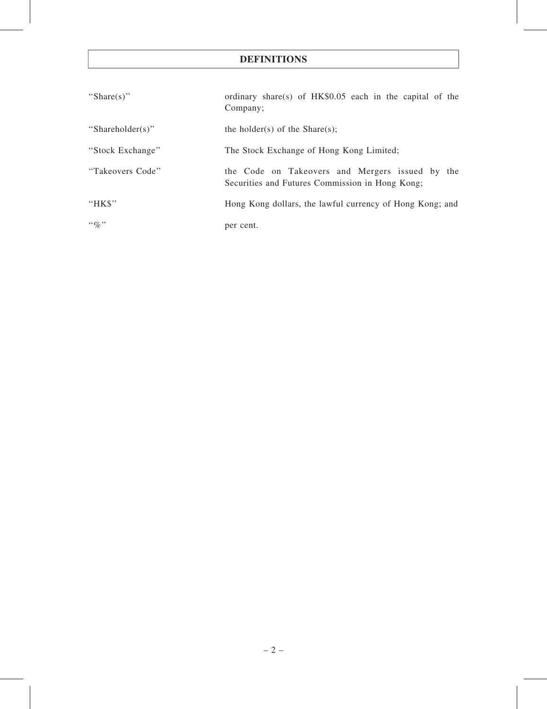# DEFINITIONS

| "Share(s)"       | ordinary share(s) of $HK$0.05$ each in the capital of the<br>Company;                              |
|------------------|----------------------------------------------------------------------------------------------------|
| "Shareholder(s)" | the holder(s) of the Share(s);                                                                     |
| "Stock Exchange" | The Stock Exchange of Hong Kong Limited;                                                           |
| "Takeovers Code" | the Code on Takeovers and Mergers issued by the<br>Securities and Futures Commission in Hong Kong; |
| "HK\$"           | Hong Kong dollars, the lawful currency of Hong Kong; and                                           |
| $\lq\lq q_0$ "   | per cent.                                                                                          |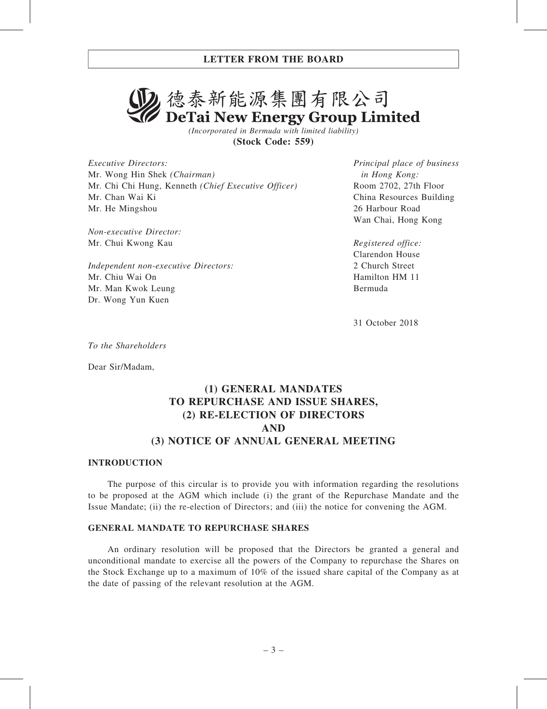# 2. 德泰新能源集團有限公司 DeTai New Energy Group Limited

(Incorporated in Bermuda with limited liability) (Stock Code: 559)

Executive Directors: Mr. Wong Hin Shek (Chairman) Mr. Chi Chi Hung, Kenneth (Chief Executive Officer) Mr. Chan Wai Ki Mr. He Mingshou

Non-executive Director: Mr. Chui Kwong Kau

Independent non-executive Directors: Mr. Chiu Wai On Mr. Man Kwok Leung Dr. Wong Yun Kuen

Principal place of business in Hong Kong: Room 2702, 27th Floor China Resources Building 26 Harbour Road Wan Chai, Hong Kong

Registered office: Clarendon House 2 Church Street Hamilton HM 11 Bermuda

31 October 2018

To the Shareholders

Dear Sir/Madam,

# (1) GENERAL MANDATES TO REPURCHASE AND ISSUE SHARES, (2) RE-ELECTION OF DIRECTORS AND (3) NOTICE OF ANNUAL GENERAL MEETING

#### INTRODUCTION

The purpose of this circular is to provide you with information regarding the resolutions to be proposed at the AGM which include (i) the grant of the Repurchase Mandate and the Issue Mandate; (ii) the re-election of Directors; and (iii) the notice for convening the AGM.

#### GENERAL MANDATE TO REPURCHASE SHARES

An ordinary resolution will be proposed that the Directors be granted a general and unconditional mandate to exercise all the powers of the Company to repurchase the Shares on the Stock Exchange up to a maximum of 10% of the issued share capital of the Company as at the date of passing of the relevant resolution at the AGM.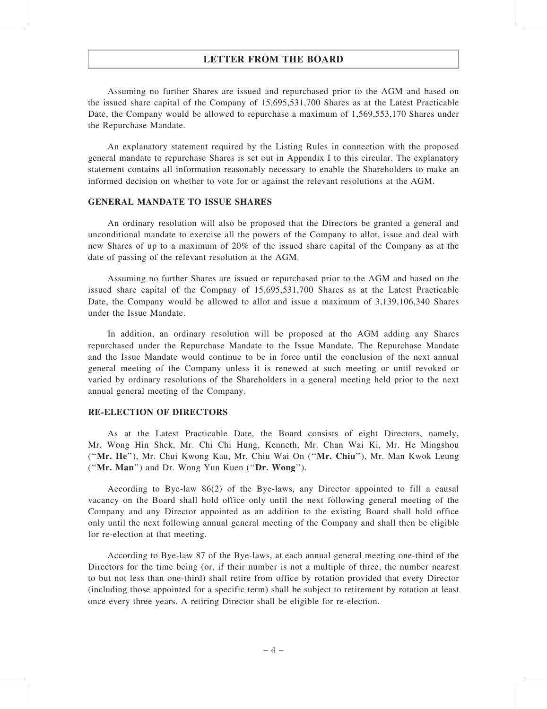### LETTER FROM THE BOARD

Assuming no further Shares are issued and repurchased prior to the AGM and based on the issued share capital of the Company of 15,695,531,700 Shares as at the Latest Practicable Date, the Company would be allowed to repurchase a maximum of 1,569,553,170 Shares under the Repurchase Mandate.

An explanatory statement required by the Listing Rules in connection with the proposed general mandate to repurchase Shares is set out in Appendix I to this circular. The explanatory statement contains all information reasonably necessary to enable the Shareholders to make an informed decision on whether to vote for or against the relevant resolutions at the AGM.

#### GENERAL MANDATE TO ISSUE SHARES

An ordinary resolution will also be proposed that the Directors be granted a general and unconditional mandate to exercise all the powers of the Company to allot, issue and deal with new Shares of up to a maximum of 20% of the issued share capital of the Company as at the date of passing of the relevant resolution at the AGM.

Assuming no further Shares are issued or repurchased prior to the AGM and based on the issued share capital of the Company of 15,695,531,700 Shares as at the Latest Practicable Date, the Company would be allowed to allot and issue a maximum of 3,139,106,340 Shares under the Issue Mandate.

In addition, an ordinary resolution will be proposed at the AGM adding any Shares repurchased under the Repurchase Mandate to the Issue Mandate. The Repurchase Mandate and the Issue Mandate would continue to be in force until the conclusion of the next annual general meeting of the Company unless it is renewed at such meeting or until revoked or varied by ordinary resolutions of the Shareholders in a general meeting held prior to the next annual general meeting of the Company.

#### RE-ELECTION OF DIRECTORS

As at the Latest Practicable Date, the Board consists of eight Directors, namely, Mr. Wong Hin Shek, Mr. Chi Chi Hung, Kenneth, Mr. Chan Wai Ki, Mr. He Mingshou (''Mr. He''), Mr. Chui Kwong Kau, Mr. Chiu Wai On (''Mr. Chiu''), Mr. Man Kwok Leung (''Mr. Man'') and Dr. Wong Yun Kuen (''Dr. Wong'').

According to Bye-law 86(2) of the Bye-laws, any Director appointed to fill a causal vacancy on the Board shall hold office only until the next following general meeting of the Company and any Director appointed as an addition to the existing Board shall hold office only until the next following annual general meeting of the Company and shall then be eligible for re-election at that meeting.

According to Bye-law 87 of the Bye-laws, at each annual general meeting one-third of the Directors for the time being (or, if their number is not a multiple of three, the number nearest to but not less than one-third) shall retire from office by rotation provided that every Director (including those appointed for a specific term) shall be subject to retirement by rotation at least once every three years. A retiring Director shall be eligible for re-election.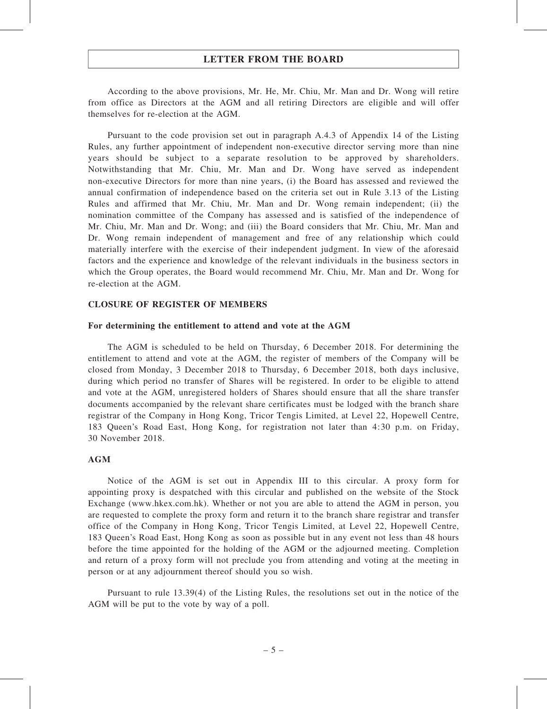### LETTER FROM THE BOARD

According to the above provisions, Mr. He, Mr. Chiu, Mr. Man and Dr. Wong will retire from office as Directors at the AGM and all retiring Directors are eligible and will offer themselves for re-election at the AGM.

Pursuant to the code provision set out in paragraph A.4.3 of Appendix 14 of the Listing Rules, any further appointment of independent non-executive director serving more than nine years should be subject to a separate resolution to be approved by shareholders. Notwithstanding that Mr. Chiu, Mr. Man and Dr. Wong have served as independent non-executive Directors for more than nine years, (i) the Board has assessed and reviewed the annual confirmation of independence based on the criteria set out in Rule 3.13 of the Listing Rules and affirmed that Mr. Chiu, Mr. Man and Dr. Wong remain independent; (ii) the nomination committee of the Company has assessed and is satisfied of the independence of Mr. Chiu, Mr. Man and Dr. Wong; and (iii) the Board considers that Mr. Chiu, Mr. Man and Dr. Wong remain independent of management and free of any relationship which could materially interfere with the exercise of their independent judgment. In view of the aforesaid factors and the experience and knowledge of the relevant individuals in the business sectors in which the Group operates, the Board would recommend Mr. Chiu, Mr. Man and Dr. Wong for re-election at the AGM.

#### CLOSURE OF REGISTER OF MEMBERS

#### For determining the entitlement to attend and vote at the AGM

The AGM is scheduled to be held on Thursday, 6 December 2018. For determining the entitlement to attend and vote at the AGM, the register of members of the Company will be closed from Monday, 3 December 2018 to Thursday, 6 December 2018, both days inclusive, during which period no transfer of Shares will be registered. In order to be eligible to attend and vote at the AGM, unregistered holders of Shares should ensure that all the share transfer documents accompanied by the relevant share certificates must be lodged with the branch share registrar of the Company in Hong Kong, Tricor Tengis Limited, at Level 22, Hopewell Centre, 183 Queen's Road East, Hong Kong, for registration not later than 4:30 p.m. on Friday, 30 November 2018.

#### AGM

Notice of the AGM is set out in Appendix III to this circular. A proxy form for appointing proxy is despatched with this circular and published on the website of the Stock Exchange (www.hkex.com.hk). Whether or not you are able to attend the AGM in person, you are requested to complete the proxy form and return it to the branch share registrar and transfer office of the Company in Hong Kong, Tricor Tengis Limited, at Level 22, Hopewell Centre, 183 Queen's Road East, Hong Kong as soon as possible but in any event not less than 48 hours before the time appointed for the holding of the AGM or the adjourned meeting. Completion and return of a proxy form will not preclude you from attending and voting at the meeting in person or at any adjournment thereof should you so wish.

Pursuant to rule 13.39(4) of the Listing Rules, the resolutions set out in the notice of the AGM will be put to the vote by way of a poll.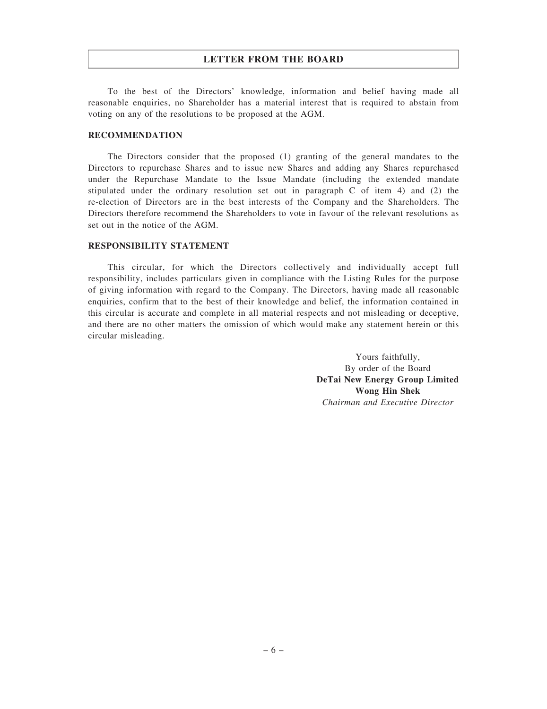# LETTER FROM THE BOARD

To the best of the Directors' knowledge, information and belief having made all reasonable enquiries, no Shareholder has a material interest that is required to abstain from voting on any of the resolutions to be proposed at the AGM.

#### RECOMMENDATION

The Directors consider that the proposed (1) granting of the general mandates to the Directors to repurchase Shares and to issue new Shares and adding any Shares repurchased under the Repurchase Mandate to the Issue Mandate (including the extended mandate stipulated under the ordinary resolution set out in paragraph C of item 4) and (2) the re-election of Directors are in the best interests of the Company and the Shareholders. The Directors therefore recommend the Shareholders to vote in favour of the relevant resolutions as set out in the notice of the AGM.

#### RESPONSIBILITY STATEMENT

This circular, for which the Directors collectively and individually accept full responsibility, includes particulars given in compliance with the Listing Rules for the purpose of giving information with regard to the Company. The Directors, having made all reasonable enquiries, confirm that to the best of their knowledge and belief, the information contained in this circular is accurate and complete in all material respects and not misleading or deceptive, and there are no other matters the omission of which would make any statement herein or this circular misleading.

> Yours faithfully, By order of the Board DeTai New Energy Group Limited Wong Hin Shek Chairman and Executive Director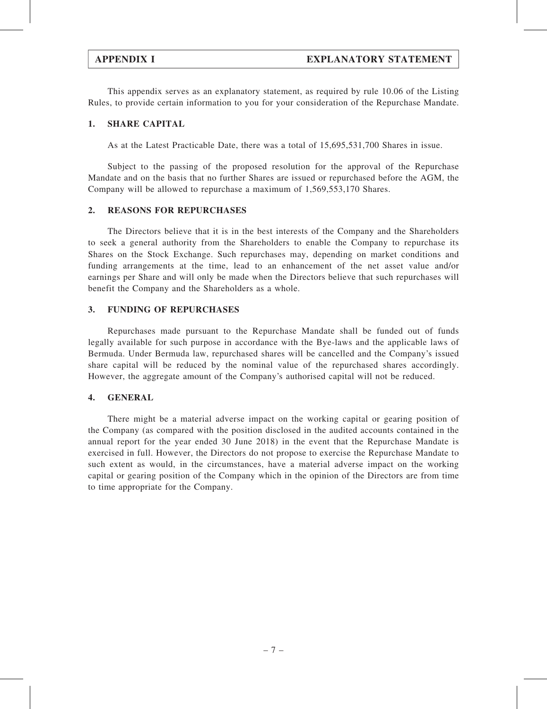This appendix serves as an explanatory statement, as required by rule 10.06 of the Listing Rules, to provide certain information to you for your consideration of the Repurchase Mandate.

#### 1. SHARE CAPITAL

As at the Latest Practicable Date, there was a total of 15,695,531,700 Shares in issue.

Subject to the passing of the proposed resolution for the approval of the Repurchase Mandate and on the basis that no further Shares are issued or repurchased before the AGM, the Company will be allowed to repurchase a maximum of 1,569,553,170 Shares.

#### 2. REASONS FOR REPURCHASES

The Directors believe that it is in the best interests of the Company and the Shareholders to seek a general authority from the Shareholders to enable the Company to repurchase its Shares on the Stock Exchange. Such repurchases may, depending on market conditions and funding arrangements at the time, lead to an enhancement of the net asset value and/or earnings per Share and will only be made when the Directors believe that such repurchases will benefit the Company and the Shareholders as a whole.

#### 3. FUNDING OF REPURCHASES

Repurchases made pursuant to the Repurchase Mandate shall be funded out of funds legally available for such purpose in accordance with the Bye-laws and the applicable laws of Bermuda. Under Bermuda law, repurchased shares will be cancelled and the Company's issued share capital will be reduced by the nominal value of the repurchased shares accordingly. However, the aggregate amount of the Company's authorised capital will not be reduced.

### 4. GENERAL

There might be a material adverse impact on the working capital or gearing position of the Company (as compared with the position disclosed in the audited accounts contained in the annual report for the year ended 30 June 2018) in the event that the Repurchase Mandate is exercised in full. However, the Directors do not propose to exercise the Repurchase Mandate to such extent as would, in the circumstances, have a material adverse impact on the working capital or gearing position of the Company which in the opinion of the Directors are from time to time appropriate for the Company.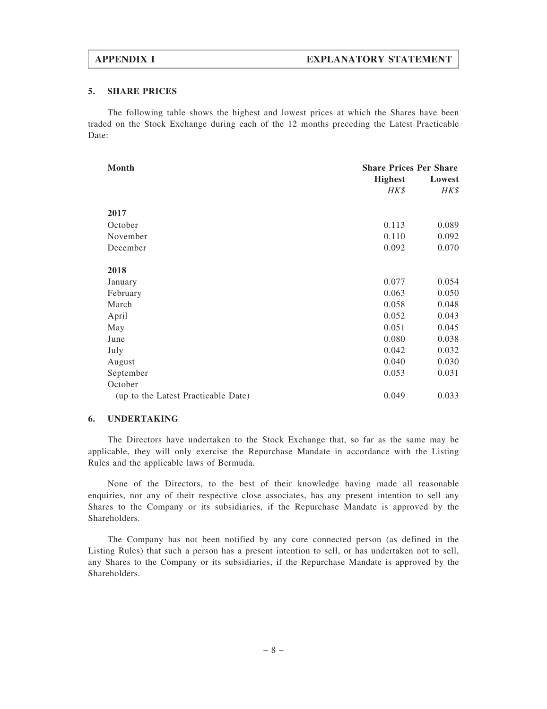#### 5. SHARE PRICES

The following table shows the highest and lowest prices at which the Shares have been traded on the Stock Exchange during each of the 12 months preceding the Latest Practicable Date:

| Month                               | <b>Share Prices Per Share</b><br><b>Highest</b><br>Lowest |       |  |
|-------------------------------------|-----------------------------------------------------------|-------|--|
|                                     | HK\$                                                      | HK\$  |  |
|                                     |                                                           |       |  |
| 2017                                |                                                           |       |  |
| October                             | 0.113                                                     | 0.089 |  |
| November                            | 0.110                                                     | 0.092 |  |
| December                            | 0.092                                                     | 0.070 |  |
|                                     |                                                           |       |  |
| 2018                                |                                                           |       |  |
| January                             | 0.077                                                     | 0.054 |  |
| February                            | 0.063                                                     | 0.050 |  |
| March                               | 0.058                                                     | 0.048 |  |
| April                               | 0.052                                                     | 0.043 |  |
| May                                 | 0.051                                                     | 0.045 |  |
| June                                | 0.080                                                     | 0.038 |  |
| July                                | 0.042                                                     | 0.032 |  |
| August                              | 0.040                                                     | 0.030 |  |
| September                           | 0.053                                                     | 0.031 |  |
| October                             |                                                           |       |  |
| (up to the Latest Practicable Date) | 0.049                                                     | 0.033 |  |

#### 6. UNDERTAKING

The Directors have undertaken to the Stock Exchange that, so far as the same may be applicable, they will only exercise the Repurchase Mandate in accordance with the Listing Rules and the applicable laws of Bermuda.

None of the Directors, to the best of their knowledge having made all reasonable enquiries, nor any of their respective close associates, has any present intention to sell any Shares to the Company or its subsidiaries, if the Repurchase Mandate is approved by the Shareholders.

The Company has not been notified by any core connected person (as defined in the Listing Rules) that such a person has a present intention to sell, or has undertaken not to sell, any Shares to the Company or its subsidiaries, if the Repurchase Mandate is approved by the Shareholders.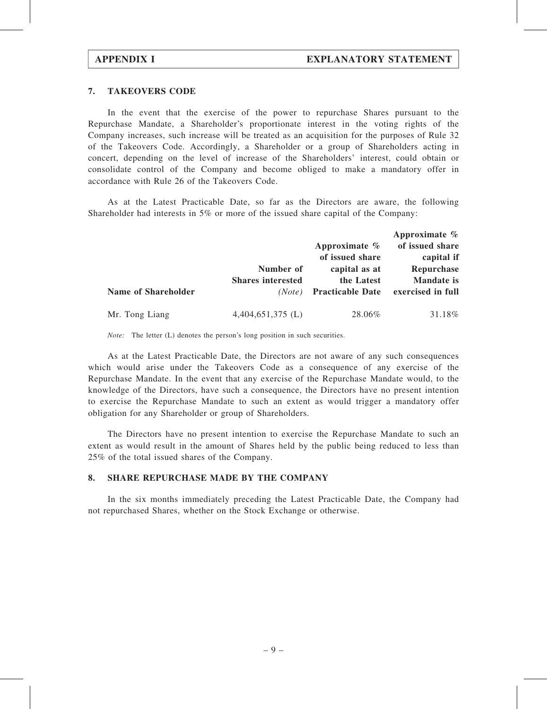### 7. TAKEOVERS CODE

In the event that the exercise of the power to repurchase Shares pursuant to the Repurchase Mandate, a Shareholder's proportionate interest in the voting rights of the Company increases, such increase will be treated as an acquisition for the purposes of Rule 32 of the Takeovers Code. Accordingly, a Shareholder or a group of Shareholders acting in concert, depending on the level of increase of the Shareholders' interest, could obtain or consolidate control of the Company and become obliged to make a mandatory offer in accordance with Rule 26 of the Takeovers Code.

As at the Latest Practicable Date, so far as the Directors are aware, the following Shareholder had interests in 5% or more of the issued share capital of the Company:

|                            | Number of<br><b>Shares interested</b><br>(Note) | Approximate $\%$<br>of issued share                    | Approximate $\%$<br>of issued share<br>capital if    |
|----------------------------|-------------------------------------------------|--------------------------------------------------------|------------------------------------------------------|
| <b>Name of Shareholder</b> |                                                 | capital as at<br>the Latest<br><b>Practicable Date</b> | Repurchase<br><b>Mandate</b> is<br>exercised in full |
| Mr. Tong Liang             | $4,404,651,375 \; (L)$                          | 28.06%                                                 | 31.18%                                               |

Note: The letter (L) denotes the person's long position in such securities.

As at the Latest Practicable Date, the Directors are not aware of any such consequences which would arise under the Takeovers Code as a consequence of any exercise of the Repurchase Mandate. In the event that any exercise of the Repurchase Mandate would, to the knowledge of the Directors, have such a consequence, the Directors have no present intention to exercise the Repurchase Mandate to such an extent as would trigger a mandatory offer obligation for any Shareholder or group of Shareholders.

The Directors have no present intention to exercise the Repurchase Mandate to such an extent as would result in the amount of Shares held by the public being reduced to less than 25% of the total issued shares of the Company.

#### 8. SHARE REPURCHASE MADE BY THE COMPANY

In the six months immediately preceding the Latest Practicable Date, the Company had not repurchased Shares, whether on the Stock Exchange or otherwise.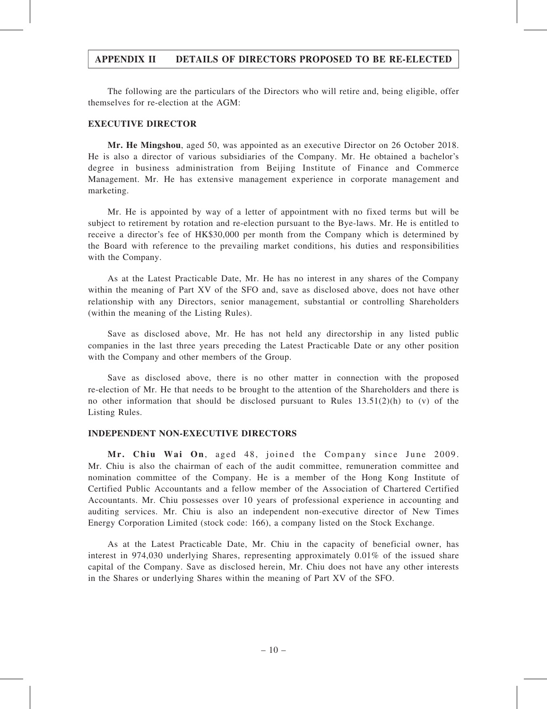The following are the particulars of the Directors who will retire and, being eligible, offer themselves for re-election at the AGM:

#### EXECUTIVE DIRECTOR

Mr. He Mingshou, aged 50, was appointed as an executive Director on 26 October 2018. He is also a director of various subsidiaries of the Company. Mr. He obtained a bachelor's degree in business administration from Beijing Institute of Finance and Commerce Management. Mr. He has extensive management experience in corporate management and marketing.

Mr. He is appointed by way of a letter of appointment with no fixed terms but will be subject to retirement by rotation and re-election pursuant to the Bye-laws. Mr. He is entitled to receive a director's fee of HK\$30,000 per month from the Company which is determined by the Board with reference to the prevailing market conditions, his duties and responsibilities with the Company.

As at the Latest Practicable Date, Mr. He has no interest in any shares of the Company within the meaning of Part XV of the SFO and, save as disclosed above, does not have other relationship with any Directors, senior management, substantial or controlling Shareholders (within the meaning of the Listing Rules).

Save as disclosed above, Mr. He has not held any directorship in any listed public companies in the last three years preceding the Latest Practicable Date or any other position with the Company and other members of the Group.

Save as disclosed above, there is no other matter in connection with the proposed re-election of Mr. He that needs to be brought to the attention of the Shareholders and there is no other information that should be disclosed pursuant to Rules  $13.51(2)(h)$  to (v) of the Listing Rules.

#### INDEPENDENT NON-EXECUTIVE DIRECTORS

Mr. Chiu Wai On, aged 48, joined the Company since June 2009. Mr. Chiu is also the chairman of each of the audit committee, remuneration committee and nomination committee of the Company. He is a member of the Hong Kong Institute of Certified Public Accountants and a fellow member of the Association of Chartered Certified Accountants. Mr. Chiu possesses over 10 years of professional experience in accounting and auditing services. Mr. Chiu is also an independent non-executive director of New Times Energy Corporation Limited (stock code: 166), a company listed on the Stock Exchange.

As at the Latest Practicable Date, Mr. Chiu in the capacity of beneficial owner, has interest in 974,030 underlying Shares, representing approximately 0.01% of the issued share capital of the Company. Save as disclosed herein, Mr. Chiu does not have any other interests in the Shares or underlying Shares within the meaning of Part XV of the SFO.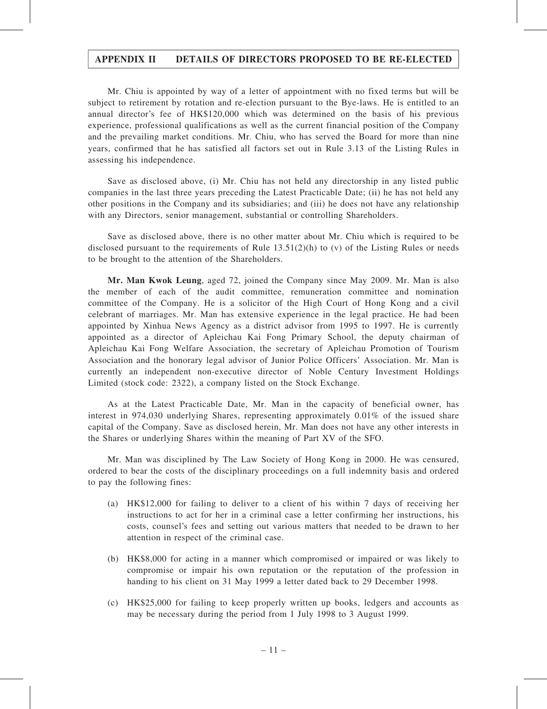Mr. Chiu is appointed by way of a letter of appointment with no fixed terms but will be subject to retirement by rotation and re-election pursuant to the Bye-laws. He is entitled to an annual director's fee of HK\$120,000 which was determined on the basis of his previous experience, professional qualifications as well as the current financial position of the Company and the prevailing market conditions. Mr. Chiu, who has served the Board for more than nine years, confirmed that he has satisfied all factors set out in Rule 3.13 of the Listing Rules in assessing his independence.

Save as disclosed above, (i) Mr. Chiu has not held any directorship in any listed public companies in the last three years preceding the Latest Practicable Date; (ii) he has not held any other positions in the Company and its subsidiaries; and (iii) he does not have any relationship with any Directors, senior management, substantial or controlling Shareholders.

Save as disclosed above, there is no other matter about Mr. Chiu which is required to be disclosed pursuant to the requirements of Rule  $13.51(2)(h)$  to (v) of the Listing Rules or needs to be brought to the attention of the Shareholders.

Mr. Man Kwok Leung, aged 72, joined the Company since May 2009. Mr. Man is also the member of each of the audit committee, remuneration committee and nomination committee of the Company. He is a solicitor of the High Court of Hong Kong and a civil celebrant of marriages. Mr. Man has extensive experience in the legal practice. He had been appointed by Xinhua News Agency as a district advisor from 1995 to 1997. He is currently appointed as a director of Apleichau Kai Fong Primary School, the deputy chairman of Apleichau Kai Fong Welfare Association, the secretary of Apleichau Promotion of Tourism Association and the honorary legal advisor of Junior Police Officers' Association. Mr. Man is currently an independent non-executive director of Noble Century Investment Holdings Limited (stock code: 2322), a company listed on the Stock Exchange.

As at the Latest Practicable Date, Mr. Man in the capacity of beneficial owner, has interest in 974,030 underlying Shares, representing approximately 0.01% of the issued share capital of the Company. Save as disclosed herein, Mr. Man does not have any other interests in the Shares or underlying Shares within the meaning of Part XV of the SFO.

Mr. Man was disciplined by The Law Society of Hong Kong in 2000. He was censured, ordered to bear the costs of the disciplinary proceedings on a full indemnity basis and ordered to pay the following fines:

- (a) HK\$12,000 for failing to deliver to a client of his within 7 days of receiving her instructions to act for her in a criminal case a letter confirming her instructions, his costs, counsel's fees and setting out various matters that needed to be drawn to her attention in respect of the criminal case.
- (b) HK\$8,000 for acting in a manner which compromised or impaired or was likely to compromise or impair his own reputation or the reputation of the profession in handing to his client on 31 May 1999 a letter dated back to 29 December 1998.
- (c) HK\$25,000 for failing to keep properly written up books, ledgers and accounts as may be necessary during the period from 1 July 1998 to 3 August 1999.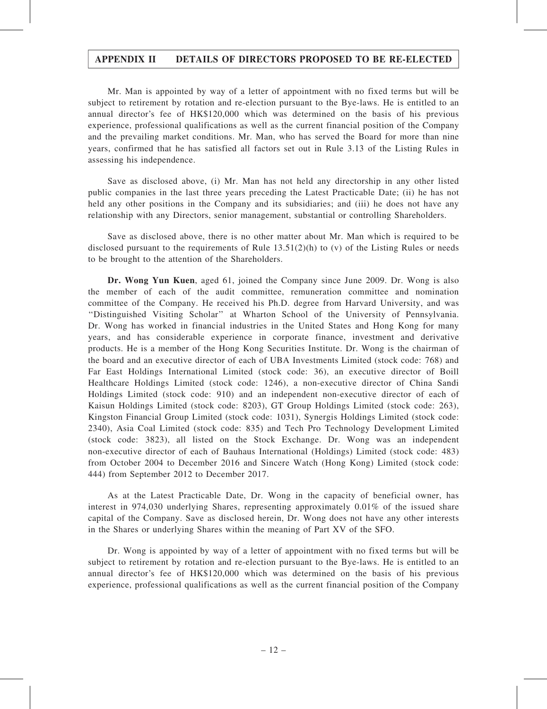Mr. Man is appointed by way of a letter of appointment with no fixed terms but will be subject to retirement by rotation and re-election pursuant to the Bye-laws. He is entitled to an annual director's fee of HK\$120,000 which was determined on the basis of his previous experience, professional qualifications as well as the current financial position of the Company and the prevailing market conditions. Mr. Man, who has served the Board for more than nine years, confirmed that he has satisfied all factors set out in Rule 3.13 of the Listing Rules in assessing his independence.

Save as disclosed above, (i) Mr. Man has not held any directorship in any other listed public companies in the last three years preceding the Latest Practicable Date; (ii) he has not held any other positions in the Company and its subsidiaries; and (iii) he does not have any relationship with any Directors, senior management, substantial or controlling Shareholders.

Save as disclosed above, there is no other matter about Mr. Man which is required to be disclosed pursuant to the requirements of Rule  $13.51(2)(h)$  to (v) of the Listing Rules or needs to be brought to the attention of the Shareholders.

Dr. Wong Yun Kuen, aged 61, joined the Company since June 2009. Dr. Wong is also the member of each of the audit committee, remuneration committee and nomination committee of the Company. He received his Ph.D. degree from Harvard University, and was ''Distinguished Visiting Scholar'' at Wharton School of the University of Pennsylvania. Dr. Wong has worked in financial industries in the United States and Hong Kong for many years, and has considerable experience in corporate finance, investment and derivative products. He is a member of the Hong Kong Securities Institute. Dr. Wong is the chairman of the board and an executive director of each of UBA Investments Limited (stock code: 768) and Far East Holdings International Limited (stock code: 36), an executive director of Boill Healthcare Holdings Limited (stock code: 1246), a non-executive director of China Sandi Holdings Limited (stock code: 910) and an independent non-executive director of each of Kaisun Holdings Limited (stock code: 8203), GT Group Holdings Limited (stock code: 263), Kingston Financial Group Limited (stock code: 1031), Synergis Holdings Limited (stock code: 2340), Asia Coal Limited (stock code: 835) and Tech Pro Technology Development Limited (stock code: 3823), all listed on the Stock Exchange. Dr. Wong was an independent non-executive director of each of Bauhaus International (Holdings) Limited (stock code: 483) from October 2004 to December 2016 and Sincere Watch (Hong Kong) Limited (stock code: 444) from September 2012 to December 2017.

As at the Latest Practicable Date, Dr. Wong in the capacity of beneficial owner, has interest in 974,030 underlying Shares, representing approximately 0.01% of the issued share capital of the Company. Save as disclosed herein, Dr. Wong does not have any other interests in the Shares or underlying Shares within the meaning of Part XV of the SFO.

Dr. Wong is appointed by way of a letter of appointment with no fixed terms but will be subject to retirement by rotation and re-election pursuant to the Bye-laws. He is entitled to an annual director's fee of HK\$120,000 which was determined on the basis of his previous experience, professional qualifications as well as the current financial position of the Company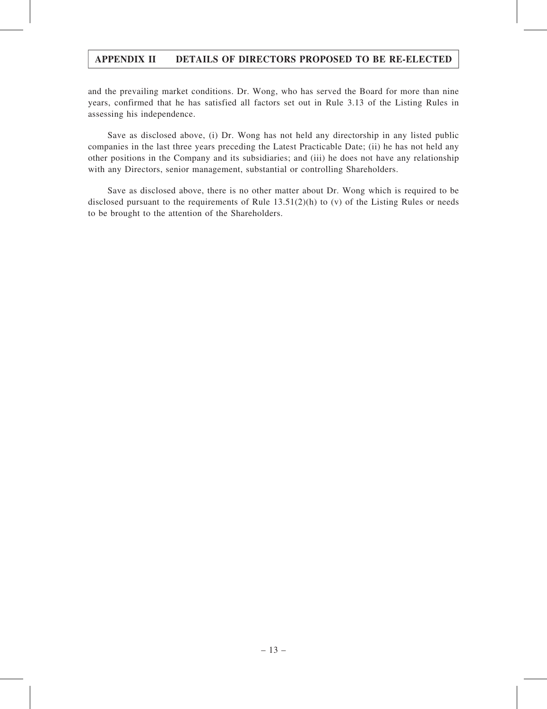and the prevailing market conditions. Dr. Wong, who has served the Board for more than nine years, confirmed that he has satisfied all factors set out in Rule 3.13 of the Listing Rules in assessing his independence.

Save as disclosed above, (i) Dr. Wong has not held any directorship in any listed public companies in the last three years preceding the Latest Practicable Date; (ii) he has not held any other positions in the Company and its subsidiaries; and (iii) he does not have any relationship with any Directors, senior management, substantial or controlling Shareholders.

Save as disclosed above, there is no other matter about Dr. Wong which is required to be disclosed pursuant to the requirements of Rule 13.51(2)(h) to (v) of the Listing Rules or needs to be brought to the attention of the Shareholders.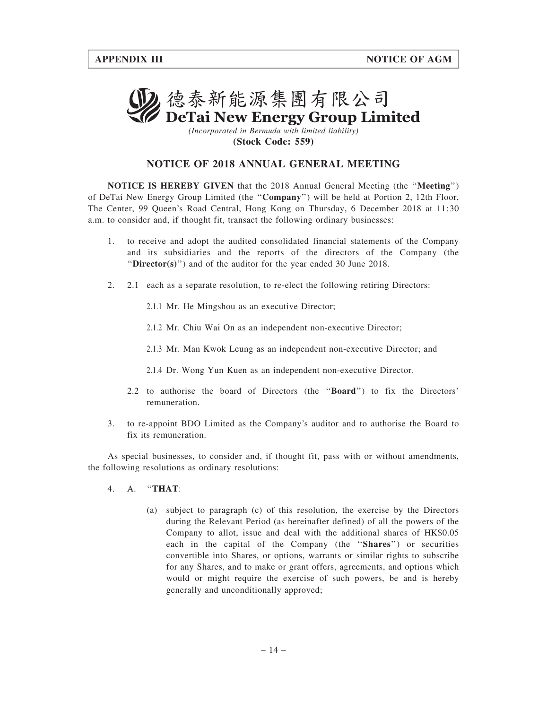

(Incorporated in Bermuda with limited liability) (Stock Code: 559)

# NOTICE OF 2018 ANNUAL GENERAL MEETING

NOTICE IS HEREBY GIVEN that the 2018 Annual General Meeting (the ''Meeting'') of DeTai New Energy Group Limited (the ''Company'') will be held at Portion 2, 12th Floor, The Center, 99 Queen's Road Central, Hong Kong on Thursday, 6 December 2018 at 11:30 a.m. to consider and, if thought fit, transact the following ordinary businesses:

- 1. to receive and adopt the audited consolidated financial statements of the Company and its subsidiaries and the reports of the directors of the Company (the "Director(s)") and of the auditor for the year ended 30 June 2018.
- 2. 2.1 each as a separate resolution, to re-elect the following retiring Directors:
	- 2.1.1 Mr. He Mingshou as an executive Director;
	- 2.1.2 Mr. Chiu Wai On as an independent non-executive Director;
	- 2.1.3 Mr. Man Kwok Leung as an independent non-executive Director; and
	- 2.1.4 Dr. Wong Yun Kuen as an independent non-executive Director.
	- 2.2 to authorise the board of Directors (the ''Board'') to fix the Directors' remuneration.
- 3. to re-appoint BDO Limited as the Company's auditor and to authorise the Board to fix its remuneration.

As special businesses, to consider and, if thought fit, pass with or without amendments, the following resolutions as ordinary resolutions:

- 4. A. ''THAT:
	- (a) subject to paragraph (c) of this resolution, the exercise by the Directors during the Relevant Period (as hereinafter defined) of all the powers of the Company to allot, issue and deal with the additional shares of HK\$0.05 each in the capital of the Company (the ''Shares'') or securities convertible into Shares, or options, warrants or similar rights to subscribe for any Shares, and to make or grant offers, agreements, and options which would or might require the exercise of such powers, be and is hereby generally and unconditionally approved;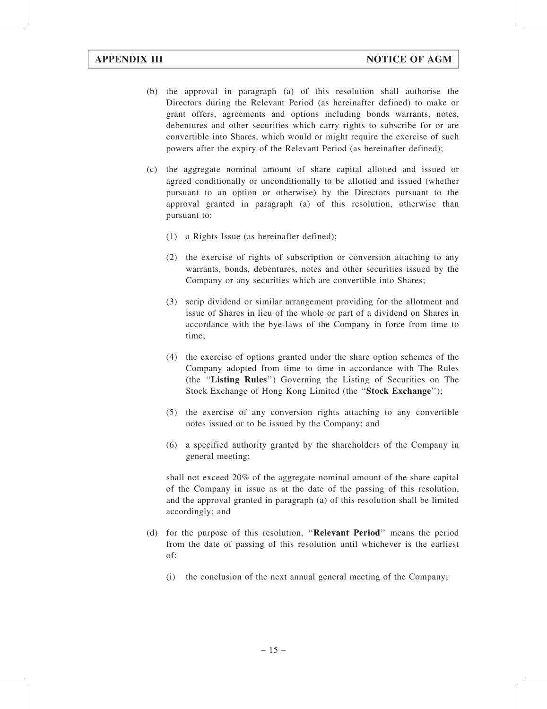- (b) the approval in paragraph (a) of this resolution shall authorise the Directors during the Relevant Period (as hereinafter defined) to make or grant offers, agreements and options including bonds warrants, notes, debentures and other securities which carry rights to subscribe for or are convertible into Shares, which would or might require the exercise of such powers after the expiry of the Relevant Period (as hereinafter defined);
- (c) the aggregate nominal amount of share capital allotted and issued or agreed conditionally or unconditionally to be allotted and issued (whether pursuant to an option or otherwise) by the Directors pursuant to the approval granted in paragraph (a) of this resolution, otherwise than pursuant to:
	- (1) a Rights Issue (as hereinafter defined);
	- (2) the exercise of rights of subscription or conversion attaching to any warrants, bonds, debentures, notes and other securities issued by the Company or any securities which are convertible into Shares;
	- (3) scrip dividend or similar arrangement providing for the allotment and issue of Shares in lieu of the whole or part of a dividend on Shares in accordance with the bye-laws of the Company in force from time to time;
	- (4) the exercise of options granted under the share option schemes of the Company adopted from time to time in accordance with The Rules (the ''Listing Rules'') Governing the Listing of Securities on The Stock Exchange of Hong Kong Limited (the "Stock Exchange");
	- (5) the exercise of any conversion rights attaching to any convertible notes issued or to be issued by the Company; and
	- (6) a specified authority granted by the shareholders of the Company in general meeting;

shall not exceed 20% of the aggregate nominal amount of the share capital of the Company in issue as at the date of the passing of this resolution, and the approval granted in paragraph (a) of this resolution shall be limited accordingly; and

- (d) for the purpose of this resolution, ''Relevant Period'' means the period from the date of passing of this resolution until whichever is the earliest of:
	- (i) the conclusion of the next annual general meeting of the Company;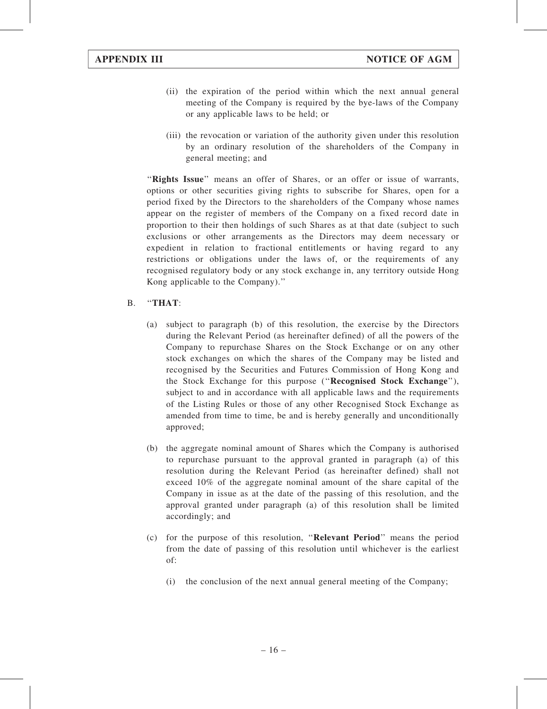- (ii) the expiration of the period within which the next annual general meeting of the Company is required by the bye-laws of the Company or any applicable laws to be held; or
- (iii) the revocation or variation of the authority given under this resolution by an ordinary resolution of the shareholders of the Company in general meeting; and

"Rights Issue" means an offer of Shares, or an offer or issue of warrants, options or other securities giving rights to subscribe for Shares, open for a period fixed by the Directors to the shareholders of the Company whose names appear on the register of members of the Company on a fixed record date in proportion to their then holdings of such Shares as at that date (subject to such exclusions or other arrangements as the Directors may deem necessary or expedient in relation to fractional entitlements or having regard to any restrictions or obligations under the laws of, or the requirements of any recognised regulatory body or any stock exchange in, any territory outside Hong Kong applicable to the Company).''

### B. ''THAT:

- (a) subject to paragraph (b) of this resolution, the exercise by the Directors during the Relevant Period (as hereinafter defined) of all the powers of the Company to repurchase Shares on the Stock Exchange or on any other stock exchanges on which the shares of the Company may be listed and recognised by the Securities and Futures Commission of Hong Kong and the Stock Exchange for this purpose (''Recognised Stock Exchange''), subject to and in accordance with all applicable laws and the requirements of the Listing Rules or those of any other Recognised Stock Exchange as amended from time to time, be and is hereby generally and unconditionally approved;
- (b) the aggregate nominal amount of Shares which the Company is authorised to repurchase pursuant to the approval granted in paragraph (a) of this resolution during the Relevant Period (as hereinafter defined) shall not exceed 10% of the aggregate nominal amount of the share capital of the Company in issue as at the date of the passing of this resolution, and the approval granted under paragraph (a) of this resolution shall be limited accordingly; and
- (c) for the purpose of this resolution, ''Relevant Period'' means the period from the date of passing of this resolution until whichever is the earliest of:
	- (i) the conclusion of the next annual general meeting of the Company;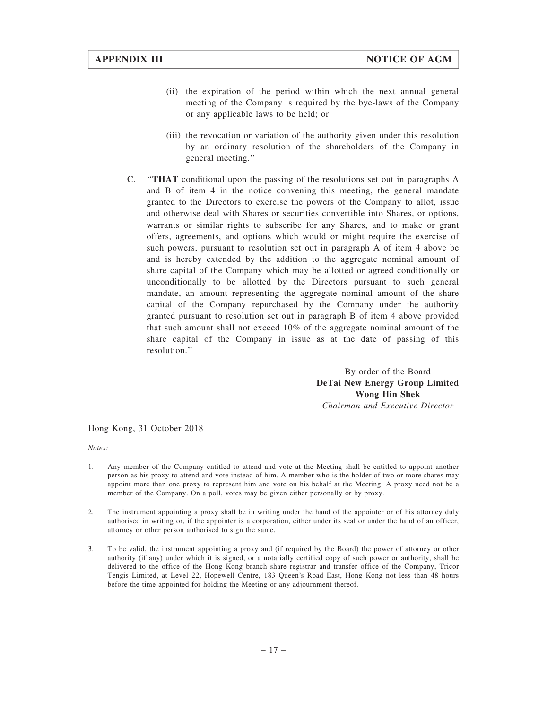- (ii) the expiration of the period within which the next annual general meeting of the Company is required by the bye-laws of the Company or any applicable laws to be held; or
- (iii) the revocation or variation of the authority given under this resolution by an ordinary resolution of the shareholders of the Company in general meeting.''
- C. ''THAT conditional upon the passing of the resolutions set out in paragraphs A and B of item 4 in the notice convening this meeting, the general mandate granted to the Directors to exercise the powers of the Company to allot, issue and otherwise deal with Shares or securities convertible into Shares, or options, warrants or similar rights to subscribe for any Shares, and to make or grant offers, agreements, and options which would or might require the exercise of such powers, pursuant to resolution set out in paragraph A of item 4 above be and is hereby extended by the addition to the aggregate nominal amount of share capital of the Company which may be allotted or agreed conditionally or unconditionally to be allotted by the Directors pursuant to such general mandate, an amount representing the aggregate nominal amount of the share capital of the Company repurchased by the Company under the authority granted pursuant to resolution set out in paragraph B of item 4 above provided that such amount shall not exceed 10% of the aggregate nominal amount of the share capital of the Company in issue as at the date of passing of this resolution.''

By order of the Board DeTai New Energy Group Limited Wong Hin Shek

Chairman and Executive Director

#### Hong Kong, 31 October 2018

Notes:

- 1. Any member of the Company entitled to attend and vote at the Meeting shall be entitled to appoint another person as his proxy to attend and vote instead of him. A member who is the holder of two or more shares may appoint more than one proxy to represent him and vote on his behalf at the Meeting. A proxy need not be a member of the Company. On a poll, votes may be given either personally or by proxy.
- 2. The instrument appointing a proxy shall be in writing under the hand of the appointer or of his attorney duly authorised in writing or, if the appointer is a corporation, either under its seal or under the hand of an officer, attorney or other person authorised to sign the same.
- 3. To be valid, the instrument appointing a proxy and (if required by the Board) the power of attorney or other authority (if any) under which it is signed, or a notarially certified copy of such power or authority, shall be delivered to the office of the Hong Kong branch share registrar and transfer office of the Company, Tricor Tengis Limited, at Level 22, Hopewell Centre, 183 Queen's Road East, Hong Kong not less than 48 hours before the time appointed for holding the Meeting or any adjournment thereof.